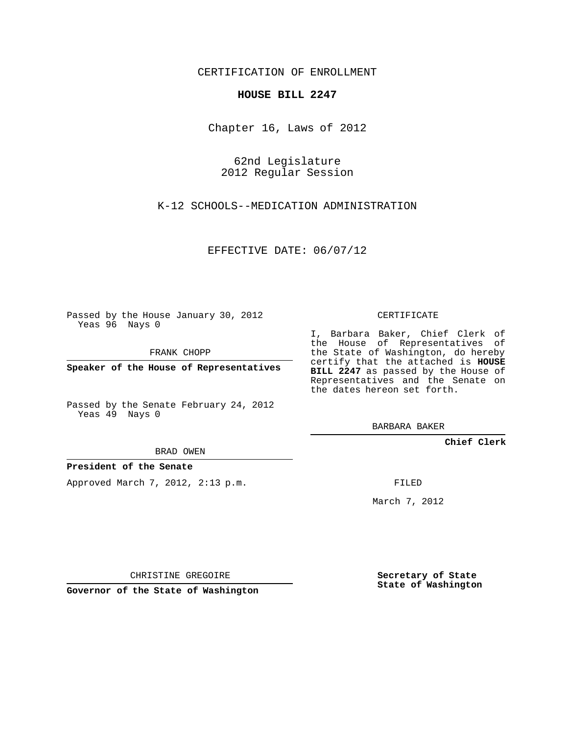CERTIFICATION OF ENROLLMENT

## **HOUSE BILL 2247**

Chapter 16, Laws of 2012

62nd Legislature 2012 Regular Session

K-12 SCHOOLS--MEDICATION ADMINISTRATION

EFFECTIVE DATE: 06/07/12

Passed by the House January 30, 2012 Yeas 96 Nays 0

FRANK CHOPP

**Speaker of the House of Representatives**

Passed by the Senate February 24, 2012 Yeas 49 Nays 0

BRAD OWEN

## **President of the Senate**

Approved March 7, 2012, 2:13 p.m.

CERTIFICATE

I, Barbara Baker, Chief Clerk of the House of Representatives of the State of Washington, do hereby certify that the attached is **HOUSE BILL 2247** as passed by the House of Representatives and the Senate on the dates hereon set forth.

BARBARA BAKER

**Chief Clerk**

FILED

March 7, 2012

CHRISTINE GREGOIRE

**Governor of the State of Washington**

**Secretary of State State of Washington**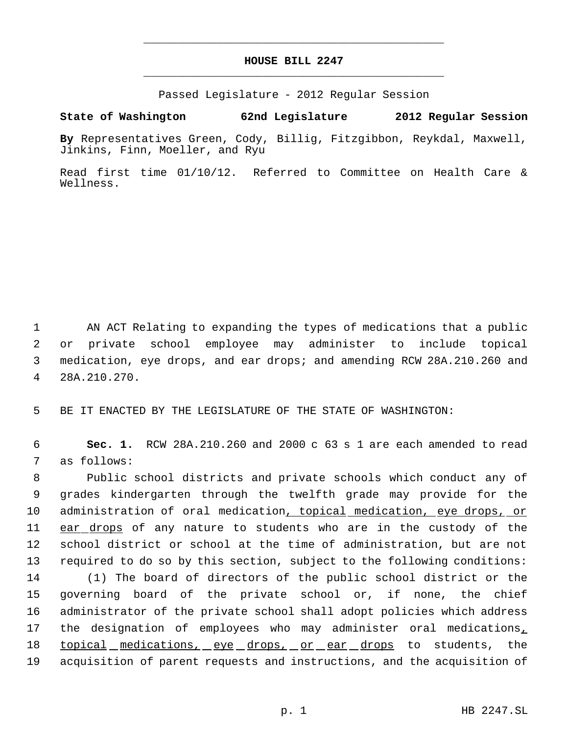## **HOUSE BILL 2247** \_\_\_\_\_\_\_\_\_\_\_\_\_\_\_\_\_\_\_\_\_\_\_\_\_\_\_\_\_\_\_\_\_\_\_\_\_\_\_\_\_\_\_\_\_

\_\_\_\_\_\_\_\_\_\_\_\_\_\_\_\_\_\_\_\_\_\_\_\_\_\_\_\_\_\_\_\_\_\_\_\_\_\_\_\_\_\_\_\_\_

Passed Legislature - 2012 Regular Session

## **State of Washington 62nd Legislature 2012 Regular Session**

**By** Representatives Green, Cody, Billig, Fitzgibbon, Reykdal, Maxwell, Jinkins, Finn, Moeller, and Ryu

Read first time 01/10/12. Referred to Committee on Health Care & Wellness.

 AN ACT Relating to expanding the types of medications that a public or private school employee may administer to include topical medication, eye drops, and ear drops; and amending RCW 28A.210.260 and 28A.210.270.

5 BE IT ENACTED BY THE LEGISLATURE OF THE STATE OF WASHINGTON:

 6 **Sec. 1.** RCW 28A.210.260 and 2000 c 63 s 1 are each amended to read 7 as follows:

 Public school districts and private schools which conduct any of grades kindergarten through the twelfth grade may provide for the administration of oral medication, topical medication, eye drops, or 11 ear drops of any nature to students who are in the custody of the school district or school at the time of administration, but are not required to do so by this section, subject to the following conditions: (1) The board of directors of the public school district or the governing board of the private school or, if none, the chief administrator of the private school shall adopt policies which address the designation of employees who may administer oral medications, 18 topical medications, eye drops, or ear drops to students, the acquisition of parent requests and instructions, and the acquisition of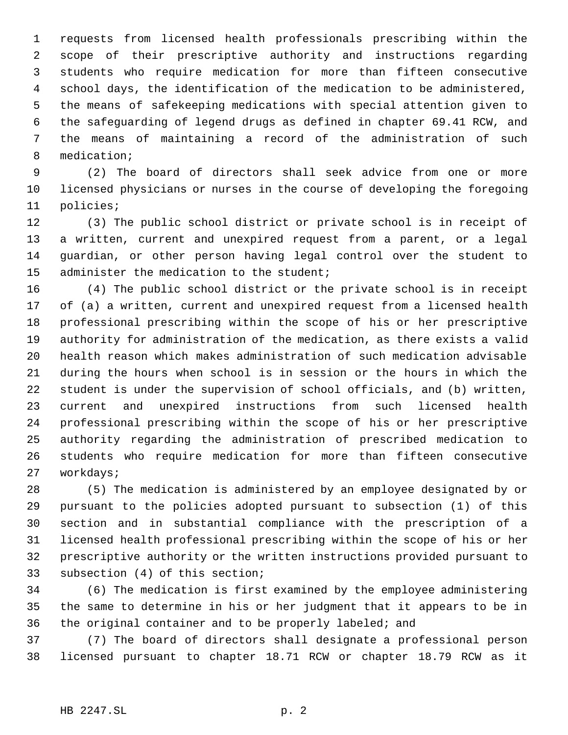requests from licensed health professionals prescribing within the scope of their prescriptive authority and instructions regarding students who require medication for more than fifteen consecutive school days, the identification of the medication to be administered, the means of safekeeping medications with special attention given to the safeguarding of legend drugs as defined in chapter 69.41 RCW, and the means of maintaining a record of the administration of such medication;

 (2) The board of directors shall seek advice from one or more licensed physicians or nurses in the course of developing the foregoing policies;

 (3) The public school district or private school is in receipt of a written, current and unexpired request from a parent, or a legal guardian, or other person having legal control over the student to 15 administer the medication to the student;

 (4) The public school district or the private school is in receipt of (a) a written, current and unexpired request from a licensed health professional prescribing within the scope of his or her prescriptive authority for administration of the medication, as there exists a valid health reason which makes administration of such medication advisable during the hours when school is in session or the hours in which the student is under the supervision of school officials, and (b) written, current and unexpired instructions from such licensed health professional prescribing within the scope of his or her prescriptive authority regarding the administration of prescribed medication to students who require medication for more than fifteen consecutive workdays;

 (5) The medication is administered by an employee designated by or pursuant to the policies adopted pursuant to subsection (1) of this section and in substantial compliance with the prescription of a licensed health professional prescribing within the scope of his or her prescriptive authority or the written instructions provided pursuant to subsection (4) of this section;

 (6) The medication is first examined by the employee administering the same to determine in his or her judgment that it appears to be in the original container and to be properly labeled; and

 (7) The board of directors shall designate a professional person licensed pursuant to chapter 18.71 RCW or chapter 18.79 RCW as it